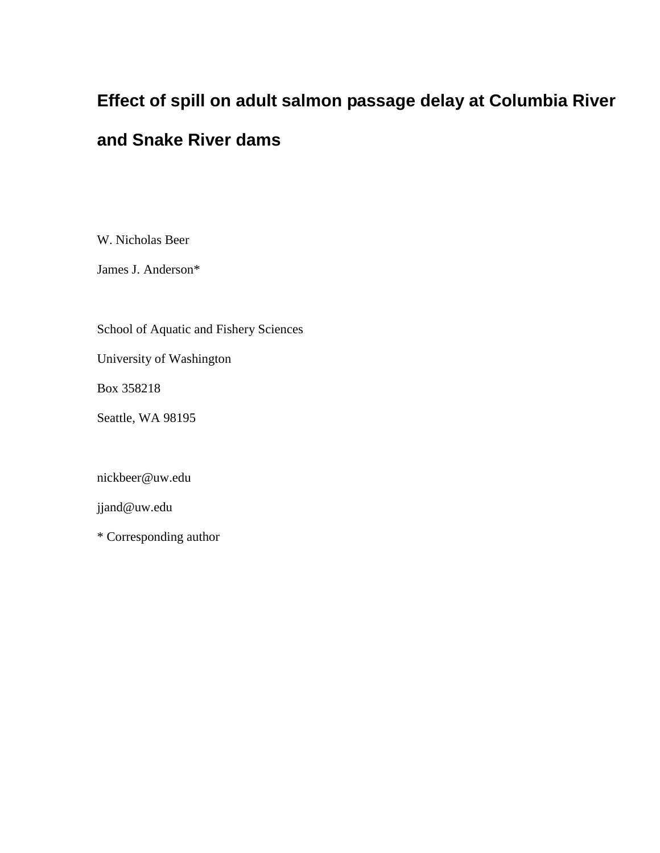# **Effect of spill on adult salmon passage delay at Columbia River**

## **and Snake River dams**

W. Nicholas Beer

James J. Anderson\*

School of Aquatic and Fishery Sciences

University of Washington

Box 358218

Seattle, WA 98195

nickbeer@uw.edu

jjand@uw.edu

\* Corresponding author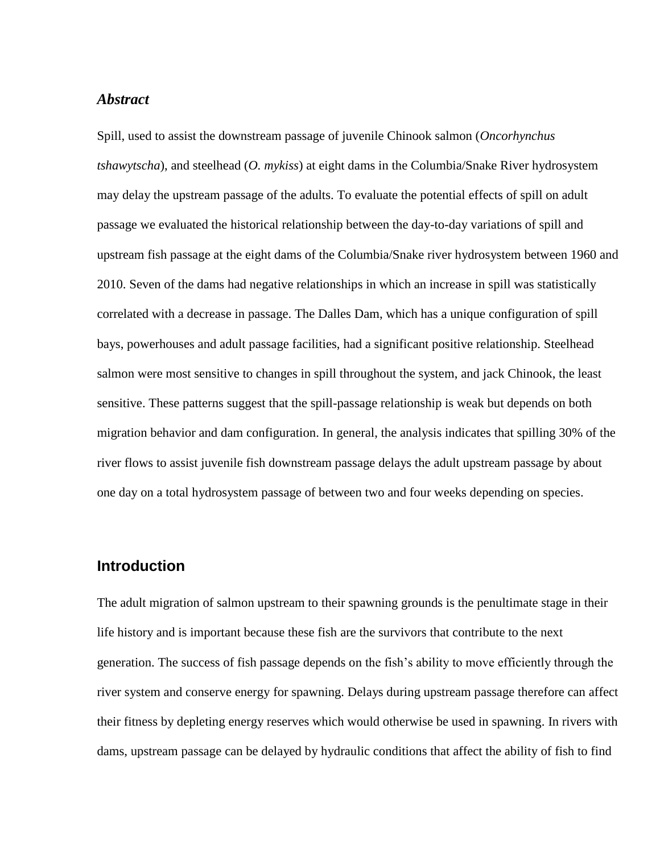#### *Abstract*

Spill, used to assist the downstream passage of juvenile Chinook salmon (*Oncorhynchus tshawytscha*), and steelhead (*O. mykiss*) at eight dams in the Columbia/Snake River hydrosystem may delay the upstream passage of the adults. To evaluate the potential effects of spill on adult passage we evaluated the historical relationship between the day-to-day variations of spill and upstream fish passage at the eight dams of the Columbia/Snake river hydrosystem between 1960 and 2010. Seven of the dams had negative relationships in which an increase in spill was statistically correlated with a decrease in passage. The Dalles Dam, which has a unique configuration of spill bays, powerhouses and adult passage facilities, had a significant positive relationship. Steelhead salmon were most sensitive to changes in spill throughout the system, and jack Chinook, the least sensitive. These patterns suggest that the spill-passage relationship is weak but depends on both migration behavior and dam configuration. In general, the analysis indicates that spilling 30% of the river flows to assist juvenile fish downstream passage delays the adult upstream passage by about one day on a total hydrosystem passage of between two and four weeks depending on species.

#### **Introduction**

The adult migration of salmon upstream to their spawning grounds is the penultimate stage in their life history and is important because these fish are the survivors that contribute to the next generation. The success of fish passage depends on the fish's ability to move efficiently through the river system and conserve energy for spawning. Delays during upstream passage therefore can affect their fitness by depleting energy reserves which would otherwise be used in spawning. In rivers with dams, upstream passage can be delayed by hydraulic conditions that affect the ability of fish to find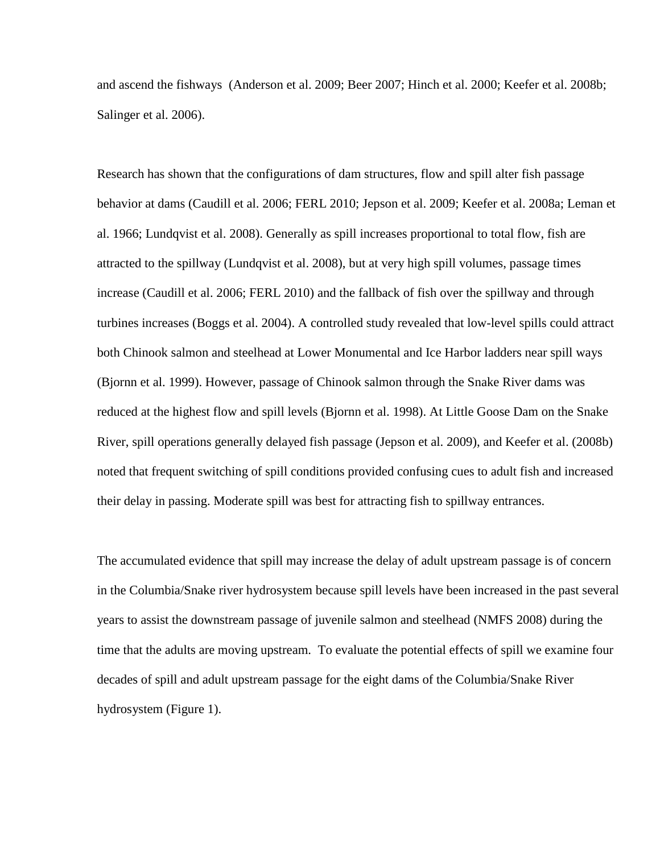and ascend the fishways (Anderson et al. 2009; Beer 2007; Hinch et al. 2000; Keefer et al. 2008b; Salinger et al. 2006).

Research has shown that the configurations of dam structures, flow and spill alter fish passage behavior at dams (Caudill et al. 2006; FERL 2010; Jepson et al. 2009; Keefer et al. 2008a; Leman et al. 1966; Lundqvist et al. 2008). Generally as spill increases proportional to total flow, fish are attracted to the spillway (Lundqvist et al. 2008), but at very high spill volumes, passage times increase (Caudill et al. 2006; FERL 2010) and the fallback of fish over the spillway and through turbines increases (Boggs et al. 2004). A controlled study revealed that low-level spills could attract both Chinook salmon and steelhead at Lower Monumental and Ice Harbor ladders near spill ways (Bjornn et al. 1999). However, passage of Chinook salmon through the Snake River dams was reduced at the highest flow and spill levels (Bjornn et al. 1998). At Little Goose Dam on the Snake River, spill operations generally delayed fish passage (Jepson et al. 2009), and Keefer et al. (2008b) noted that frequent switching of spill conditions provided confusing cues to adult fish and increased their delay in passing. Moderate spill was best for attracting fish to spillway entrances.

The accumulated evidence that spill may increase the delay of adult upstream passage is of concern in the Columbia/Snake river hydrosystem because spill levels have been increased in the past several years to assist the downstream passage of juvenile salmon and steelhead (NMFS 2008) during the time that the adults are moving upstream. To evaluate the potential effects of spill we examine four decades of spill and adult upstream passage for the eight dams of the Columbia/Snake River hydrosystem (Figure 1).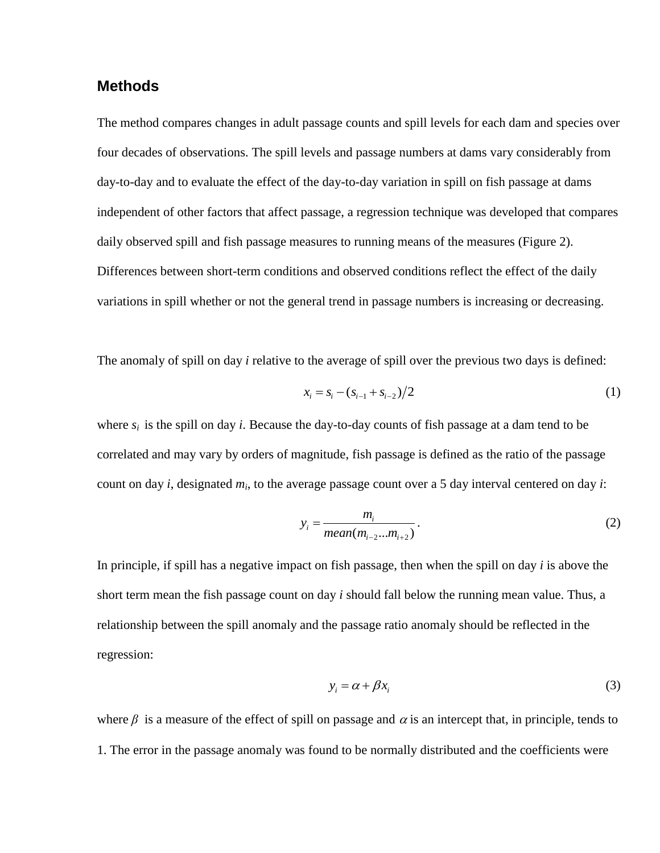#### **Methods**

The method compares changes in adult passage counts and spill levels for each dam and species over four decades of observations. The spill levels and passage numbers at dams vary considerably from day-to-day and to evaluate the effect of the day-to-day variation in spill on fish passage at dams independent of other factors that affect passage, a regression technique was developed that compares daily observed spill and fish passage measures to running means of the measures (Figure 2). Differences between short-term conditions and observed conditions reflect the effect of the daily variations in spill whether or not the general trend in passage numbers is increasing or decreasing.

The anomaly of spill on day *i* relative to the average of spill over the previous two days is defined:

$$
x_i = s_i - (s_{i-1} + s_{i-2})/2
$$
 (1)

where  $s_i$  is the spill on day *i*. Because the day-to-day counts of fish passage at a dam tend to be correlated and may vary by orders of magnitude, fish passage is defined as the ratio of the passage count on day *i*, designated *m<sup>i</sup>* , to the average passage count over a 5 day interval centered on day *i*:

$$
y_i = \frac{m_i}{mean(m_{i-2}...m_{i+2})}.
$$
 (2)

In principle, if spill has a negative impact on fish passage, then when the spill on day *i* is above the short term mean the fish passage count on day *i* should fall below the running mean value. Thus, a relationship between the spill anomaly and the passage ratio anomaly should be reflected in the regression:

$$
y_i = \alpha + \beta x_i \tag{3}
$$

where  $\beta$  is a measure of the effect of spill on passage and  $\alpha$  is an intercept that, in principle, tends to 1. The error in the passage anomaly was found to be normally distributed and the coefficients were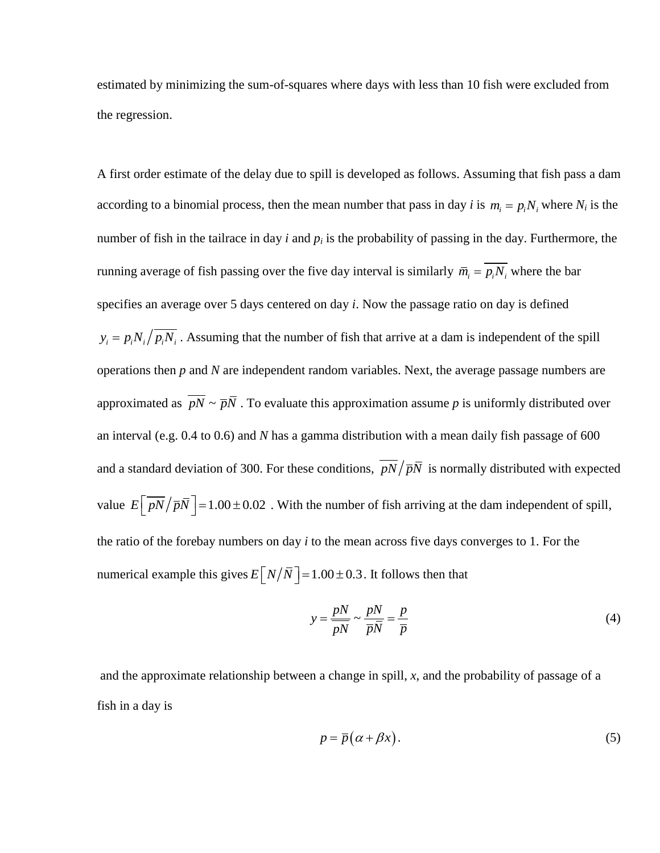estimated by minimizing the sum-of-squares where days with less than 10 fish were excluded from the regression.

A first order estimate of the delay due to spill is developed as follows. Assuming that fish pass a dam according to a binomial process, then the mean number that pass in day *i* is  $m_i = p_i N_i$ , where  $N_i$  is the number of fish in the tailrace in day  $i$  and  $p_i$  is the probability of passing in the day. Furthermore, the running average of fish passing over the five day interval is similarly  $\bar{m}_i = p_i N_i$  where the bar specifies an average over 5 days centered on day *i*. Now the passage ratio on day is defined  $y_i = p_i N_i / \overline{p_i N_i}$ . Assuming that the number of fish that arrive at a dam is independent of the spill operations then *p* and *N* are independent random variables. Next, the average passage numbers are approximated as  $pN \sim \overline{p}N$ . To evaluate this approximation assume p is uniformly distributed over an interval (e.g. 0.4 to 0.6) and *N* has a gamma distribution with a mean daily fish passage of 600 and a standard deviation of 300. For these conditions,  $pN/\overline{p}N$  is normally distributed with expected value  $E\left[\overline{pN}/\overline{pN}\right] = 1.00 \pm 0.02$ . With the number of fish arriving at the dam independent of spill, the ratio of the forebay numbers on day *i* to the mean across five days converges to 1. For the numerical example this gives  $E[N/\bar{N}] = 1.00 \pm 0.3$ . It follows then that

$$
y = \frac{pN}{pN} \sim \frac{pN}{\overline{p}\overline{N}} = \frac{p}{\overline{p}}
$$
(4)

and the approximate relationship between a change in spill,  $x$ , and the probability of passage of a fish in a day is

$$
p = \overline{p}(\alpha + \beta x). \tag{5}
$$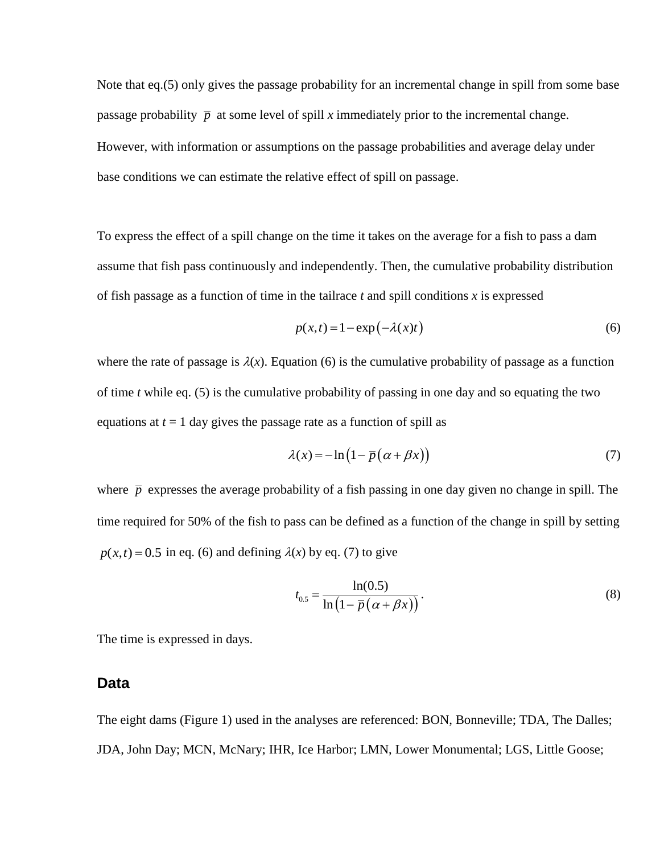Note that eq.(5) only gives the passage probability for an incremental change in spill from some base passage probability  $\bar{p}$  at some level of spill *x* immediately prior to the incremental change. However, with information or assumptions on the passage probabilities and average delay under base conditions we can estimate the relative effect of spill on passage.

To express the effect of a spill change on the time it takes on the average for a fish to pass a dam assume that fish pass continuously and independently. Then, the cumulative probability distribution of fish passage as a function of time in the tailrace *t* and spill conditions *x* is expressed

$$
p(x,t) = 1 - \exp(-\lambda(x)t)
$$
 (6)

where the rate of passage is  $\lambda(x)$ . Equation (6) is the cumulative probability of passage as a function of time *t* while eq. (5) is the cumulative probability of passing in one day and so equating the two equations at  $t = 1$  day gives the passage rate as a function of spill as

$$
\lambda(x) = -\ln(1 - \overline{p}(\alpha + \beta x))
$$
\n(7)

where  $\bar{p}$  expresses the average probability of a fish passing in one day given no change in spill. The time required for 50% of the fish to pass can be defined as a function of the change in spill by setting  $p(x,t) = 0.5$  in eq. (6) and defining  $\lambda(x)$  by eq. (7) to give

$$
t_{0.5} = \frac{\ln(0.5)}{\ln(1 - \bar{p}(\alpha + \beta x))}.
$$
 (8)

The time is expressed in days.

#### **Data**

The eight dams (Figure 1) used in the analyses are referenced: BON, Bonneville; TDA, The Dalles; JDA, John Day; MCN, McNary; IHR, Ice Harbor; LMN, Lower Monumental; LGS, Little Goose;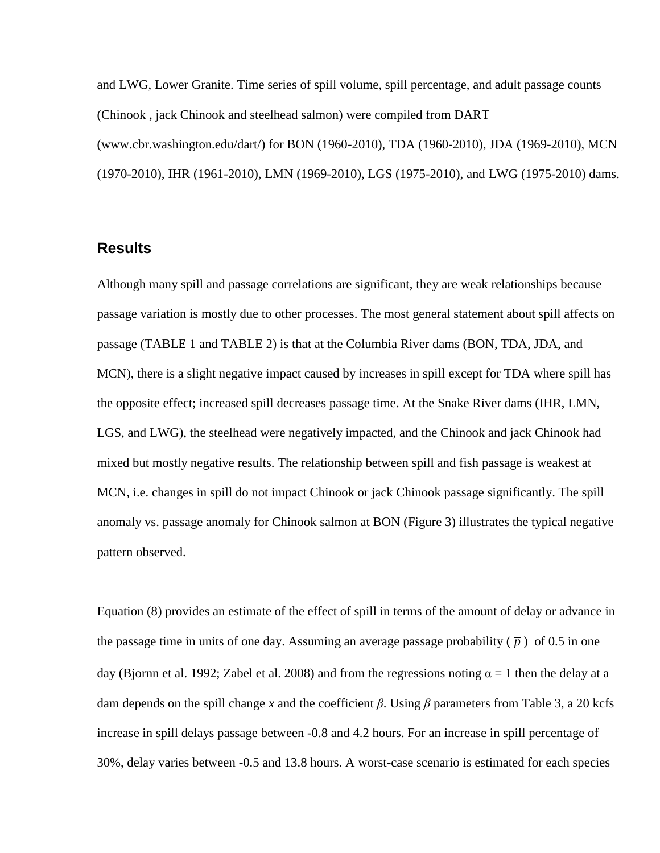and LWG, Lower Granite. Time series of spill volume, spill percentage, and adult passage counts (Chinook , jack Chinook and steelhead salmon) were compiled from DART (www.cbr.washington.edu/dart/) for BON (1960-2010), TDA (1960-2010), JDA (1969-2010), MCN (1970-2010), IHR (1961-2010), LMN (1969-2010), LGS (1975-2010), and LWG (1975-2010) dams.

#### **Results**

Although many spill and passage correlations are significant, they are weak relationships because passage variation is mostly due to other processes. The most general statement about spill affects on passage [\(TABLE](#page-16-0) 1 and [TABLE](#page-17-0) 2) is that at the Columbia River dams (BON, TDA, JDA, and MCN), there is a slight negative impact caused by increases in spill except for TDA where spill has the opposite effect; increased spill decreases passage time. At the Snake River dams (IHR, LMN, LGS, and LWG), the steelhead were negatively impacted, and the Chinook and jack Chinook had mixed but mostly negative results. The relationship between spill and fish passage is weakest at MCN, i.e. changes in spill do not impact Chinook or jack Chinook passage significantly. The spill anomaly vs. passage anomaly for Chinook salmon at BON (Figure 3) illustrates the typical negative pattern observed.

Equation (8) provides an estimate of the effect of spill in terms of the amount of delay or advance in the passage time in units of one day. Assuming an average passage probability  $(\bar{p})$  of 0.5 in one day (Bjornn et al. 1992; Zabel et al. 2008) and from the regressions noting  $\alpha = 1$  then the delay at a dam depends on the spill change *x* and the coefficient *β*. Using *β* parameters from Table 3, a 20 kcfs increase in spill delays passage between -0.8 and 4.2 hours. For an increase in spill percentage of 30%, delay varies between -0.5 and 13.8 hours. A worst-case scenario is estimated for each species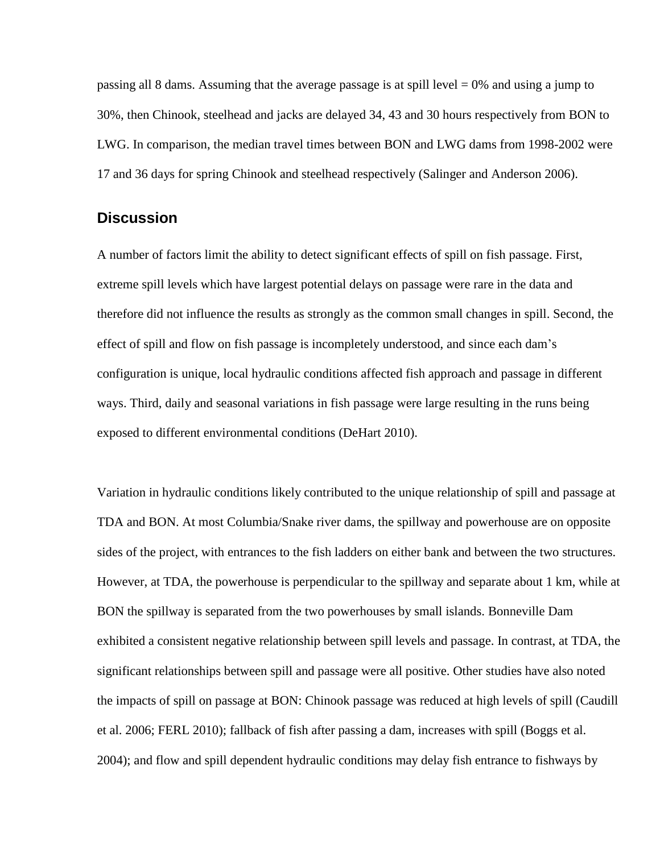passing all 8 dams. Assuming that the average passage is at spill level  $= 0\%$  and using a jump to 30%, then Chinook, steelhead and jacks are delayed 34, 43 and 30 hours respectively from BON to LWG. In comparison, the median travel times between BON and LWG dams from 1998-2002 were 17 and 36 days for spring Chinook and steelhead respectively (Salinger and Anderson 2006).

#### **Discussion**

A number of factors limit the ability to detect significant effects of spill on fish passage. First, extreme spill levels which have largest potential delays on passage were rare in the data and therefore did not influence the results as strongly as the common small changes in spill. Second, the effect of spill and flow on fish passage is incompletely understood, and since each dam's configuration is unique, local hydraulic conditions affected fish approach and passage in different ways. Third, daily and seasonal variations in fish passage were large resulting in the runs being exposed to different environmental conditions (DeHart 2010).

Variation in hydraulic conditions likely contributed to the unique relationship of spill and passage at TDA and BON. At most Columbia/Snake river dams, the spillway and powerhouse are on opposite sides of the project, with entrances to the fish ladders on either bank and between the two structures. However, at TDA, the powerhouse is perpendicular to the spillway and separate about 1 km, while at BON the spillway is separated from the two powerhouses by small islands. Bonneville Dam exhibited a consistent negative relationship between spill levels and passage. In contrast, at TDA, the significant relationships between spill and passage were all positive. Other studies have also noted the impacts of spill on passage at BON: Chinook passage was reduced at high levels of spill (Caudill et al. 2006; FERL 2010); fallback of fish after passing a dam, increases with spill (Boggs et al. 2004); and flow and spill dependent hydraulic conditions may delay fish entrance to fishways by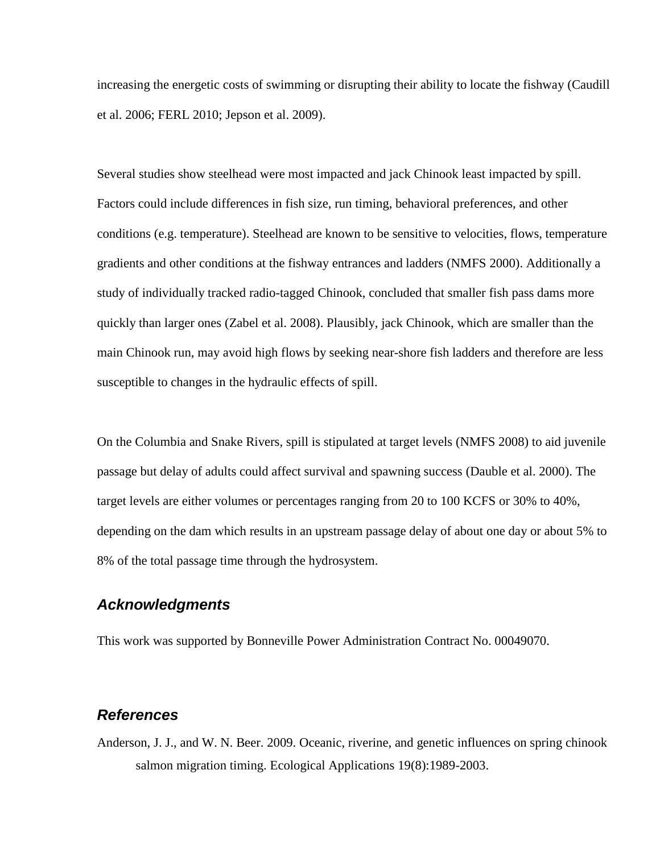increasing the energetic costs of swimming or disrupting their ability to locate the fishway (Caudill et al. 2006; FERL 2010; Jepson et al. 2009).

Several studies show steelhead were most impacted and jack Chinook least impacted by spill. Factors could include differences in fish size, run timing, behavioral preferences, and other conditions (e.g. temperature). Steelhead are known to be sensitive to velocities, flows, temperature gradients and other conditions at the fishway entrances and ladders (NMFS 2000). Additionally a study of individually tracked radio-tagged Chinook, concluded that smaller fish pass dams more quickly than larger ones (Zabel et al. 2008). Plausibly, jack Chinook, which are smaller than the main Chinook run, may avoid high flows by seeking near-shore fish ladders and therefore are less susceptible to changes in the hydraulic effects of spill.

On the Columbia and Snake Rivers, spill is stipulated at target levels (NMFS 2008) to aid juvenile passage but delay of adults could affect survival and spawning success (Dauble et al. 2000). The target levels are either volumes or percentages ranging from 20 to 100 KCFS or 30% to 40%, depending on the dam which results in an upstream passage delay of about one day or about 5% to 8% of the total passage time through the hydrosystem.

#### *Acknowledgments*

This work was supported by Bonneville Power Administration Contract No. 00049070.

#### *References*

Anderson, J. J., and W. N. Beer. 2009. Oceanic, riverine, and genetic influences on spring chinook salmon migration timing. Ecological Applications 19(8):1989-2003.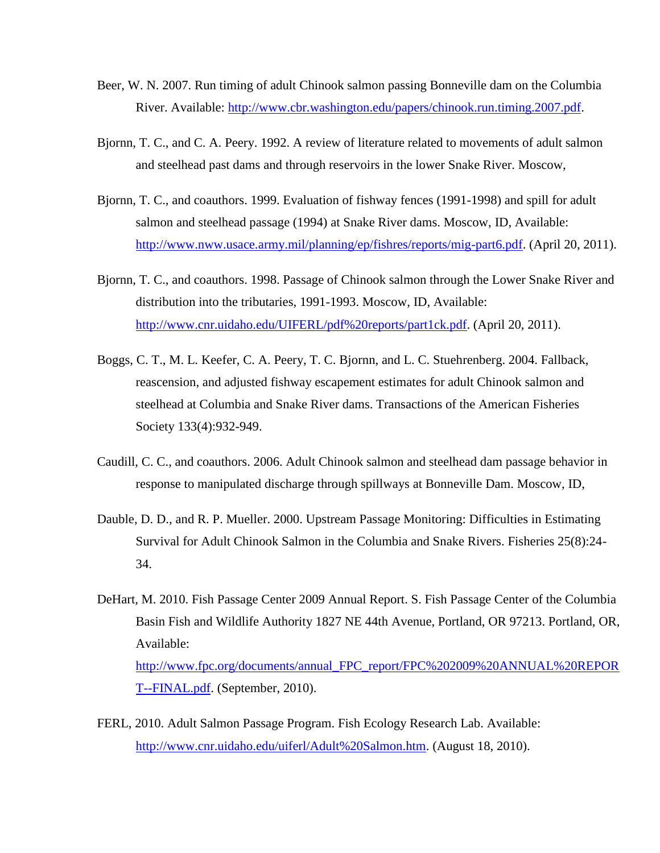- Beer, W. N. 2007. Run timing of adult Chinook salmon passing Bonneville dam on the Columbia River. Available: [http://www.cbr.washington.edu/papers/chinook.run.timing.2007.pdf.](http://www.cbr.washington.edu/papers/chinook.run.timing.2007.pdf)
- Bjornn, T. C., and C. A. Peery. 1992. A review of literature related to movements of adult salmon and steelhead past dams and through reservoirs in the lower Snake River. Moscow,
- Bjornn, T. C., and coauthors. 1999. Evaluation of fishway fences (1991-1998) and spill for adult salmon and steelhead passage (1994) at Snake River dams. Moscow, ID, Available: [http://www.nww.usace.army.mil/planning/ep/fishres/reports/mig-part6.pdf.](http://www.nww.usace.army.mil/planning/ep/fishres/reports/mig-part6.pdf) (April 20, 2011).
- Bjornn, T. C., and coauthors. 1998. Passage of Chinook salmon through the Lower Snake River and distribution into the tributaries, 1991-1993. Moscow, ID, Available: [http://www.cnr.uidaho.edu/UIFERL/pdf%20reports/part1ck.pdf.](http://www.cnr.uidaho.edu/UIFERL/pdf%20reports/part1ck.pdf) (April 20, 2011).
- Boggs, C. T., M. L. Keefer, C. A. Peery, T. C. Bjornn, and L. C. Stuehrenberg. 2004. Fallback, reascension, and adjusted fishway escapement estimates for adult Chinook salmon and steelhead at Columbia and Snake River dams. Transactions of the American Fisheries Society 133(4):932-949.
- Caudill, C. C., and coauthors. 2006. Adult Chinook salmon and steelhead dam passage behavior in response to manipulated discharge through spillways at Bonneville Dam. Moscow, ID,
- Dauble, D. D., and R. P. Mueller. 2000. Upstream Passage Monitoring: Difficulties in Estimating Survival for Adult Chinook Salmon in the Columbia and Snake Rivers. Fisheries 25(8):24- 34.
- DeHart, M. 2010. Fish Passage Center 2009 Annual Report. S. Fish Passage Center of the Columbia Basin Fish and Wildlife Authority 1827 NE 44th Avenue, Portland, OR 97213. Portland, OR, Available: [http://www.fpc.org/documents/annual\\_FPC\\_report/FPC%202009%20ANNUAL%20REPOR](http://www.fpc.org/documents/annual_FPC_report/FPC%202009%20ANNUAL%20REPORT--FINAL.pdf) [T--FINAL.pdf.](http://www.fpc.org/documents/annual_FPC_report/FPC%202009%20ANNUAL%20REPORT--FINAL.pdf) (September, 2010).
- FERL, 2010. Adult Salmon Passage Program. Fish Ecology Research Lab. Available: [http://www.cnr.uidaho.edu/uiferl/Adult%20Salmon.htm.](http://www.cnr.uidaho.edu/uiferl/Adult%20Salmon.htm) (August 18, 2010).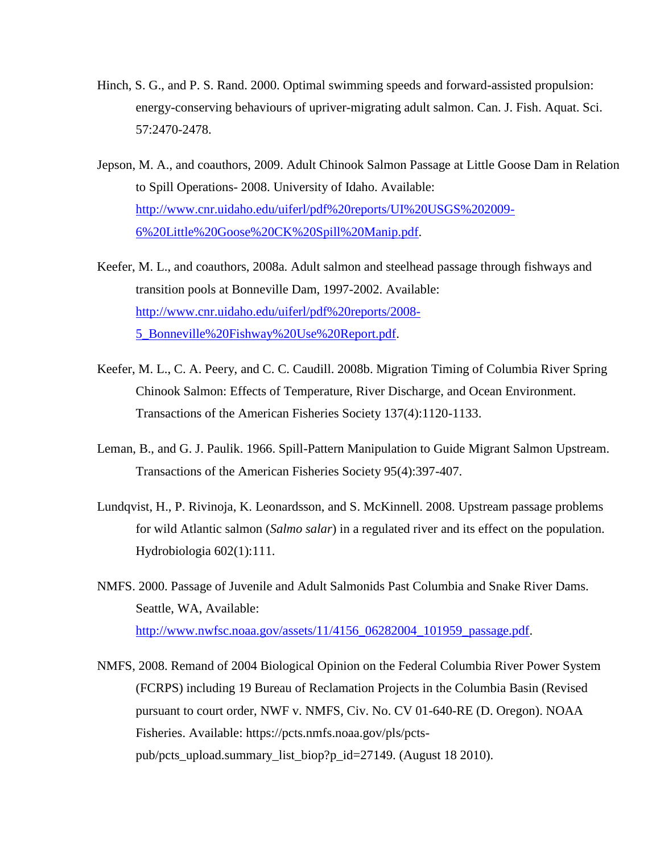- Hinch, S. G., and P. S. Rand. 2000. Optimal swimming speeds and forward-assisted propulsion: energy-conserving behaviours of upriver-migrating adult salmon. Can. J. Fish. Aquat. Sci. 57:2470-2478.
- Jepson, M. A., and coauthors, 2009. Adult Chinook Salmon Passage at Little Goose Dam in Relation to Spill Operations- 2008. University of Idaho. Available: [http://www.cnr.uidaho.edu/uiferl/pdf%20reports/UI%20USGS%202009-](http://www.cnr.uidaho.edu/uiferl/pdf%20reports/UI%20USGS%202009-6%20Little%20Goose%20CK%20Spill%20Manip.pdf) [6%20Little%20Goose%20CK%20Spill%20Manip.pdf.](http://www.cnr.uidaho.edu/uiferl/pdf%20reports/UI%20USGS%202009-6%20Little%20Goose%20CK%20Spill%20Manip.pdf)
- Keefer, M. L., and coauthors, 2008a. Adult salmon and steelhead passage through fishways and transition pools at Bonneville Dam, 1997-2002. Available: [http://www.cnr.uidaho.edu/uiferl/pdf%20reports/2008-](http://www.cnr.uidaho.edu/uiferl/pdf%20reports/2008-5_Bonneville%20Fishway%20Use%20Report.pdf) [5\\_Bonneville%20Fishway%20Use%20Report.pdf.](http://www.cnr.uidaho.edu/uiferl/pdf%20reports/2008-5_Bonneville%20Fishway%20Use%20Report.pdf)
- Keefer, M. L., C. A. Peery, and C. C. Caudill. 2008b. Migration Timing of Columbia River Spring Chinook Salmon: Effects of Temperature, River Discharge, and Ocean Environment. Transactions of the American Fisheries Society 137(4):1120-1133.
- Leman, B., and G. J. Paulik. 1966. Spill-Pattern Manipulation to Guide Migrant Salmon Upstream. Transactions of the American Fisheries Society 95(4):397-407.
- Lundqvist, H., P. Rivinoja, K. Leonardsson, and S. McKinnell. 2008. Upstream passage problems for wild Atlantic salmon (*Salmo salar*) in a regulated river and its effect on the population. Hydrobiologia 602(1):111.
- NMFS. 2000. Passage of Juvenile and Adult Salmonids Past Columbia and Snake River Dams. Seattle, WA, Available: [http://www.nwfsc.noaa.gov/assets/11/4156\\_06282004\\_101959\\_passage.pdf.](http://www.nwfsc.noaa.gov/assets/11/4156_06282004_101959_passage.pdf)
- NMFS, 2008. Remand of 2004 Biological Opinion on the Federal Columbia River Power System (FCRPS) including 19 Bureau of Reclamation Projects in the Columbia Basin (Revised pursuant to court order, NWF v. NMFS, Civ. No. CV 01-640-RE (D. Oregon). NOAA Fisheries. Available: https://pcts.nmfs.noaa.gov/pls/pctspub/pcts\_upload.summary\_list\_biop?p\_id=27149. (August 18 2010).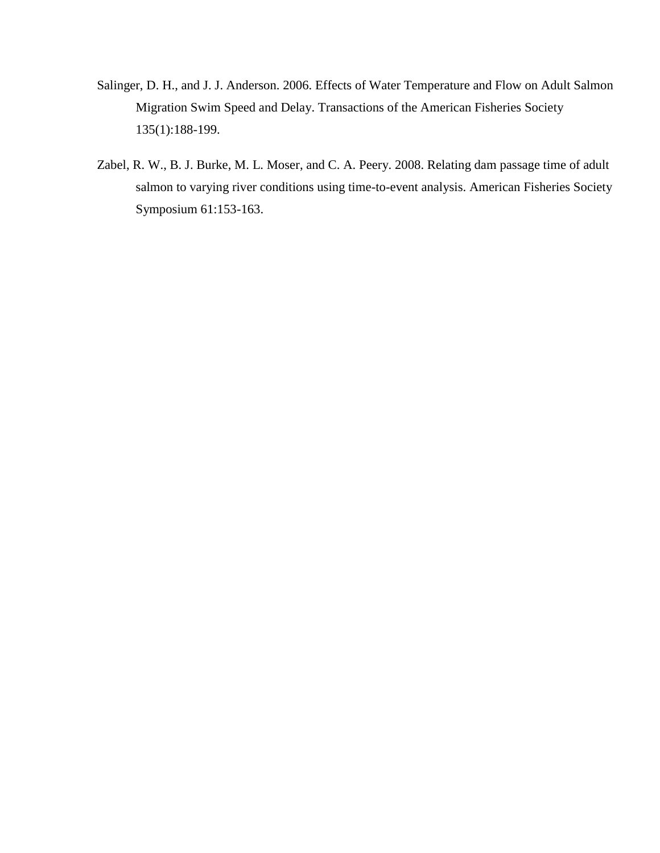- Salinger, D. H., and J. J. Anderson. 2006. Effects of Water Temperature and Flow on Adult Salmon Migration Swim Speed and Delay. Transactions of the American Fisheries Society 135(1):188-199.
- Zabel, R. W., B. J. Burke, M. L. Moser, and C. A. Peery. 2008. Relating dam passage time of adult salmon to varying river conditions using time-to-event analysis. American Fisheries Society Symposium 61:153-163.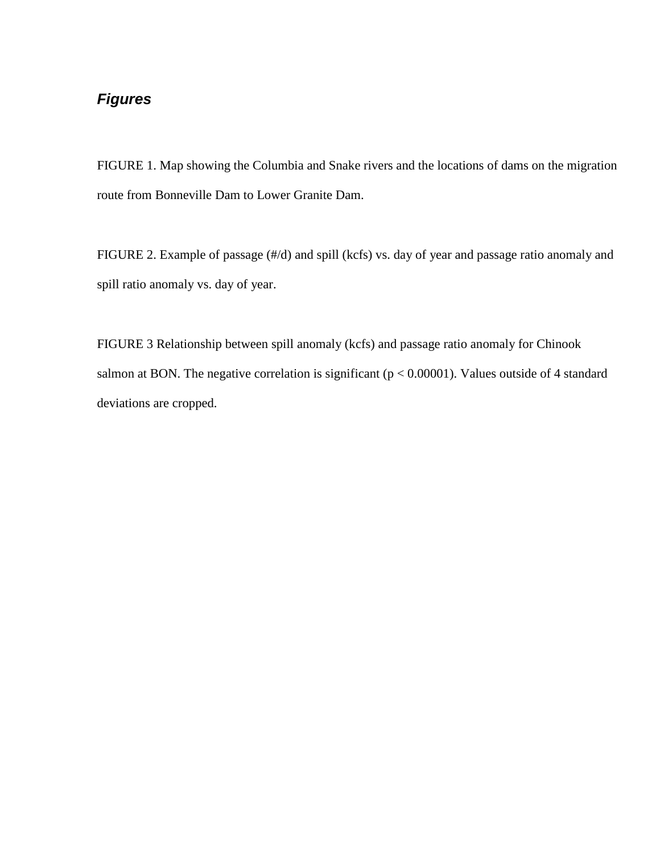### *Figures*

FIGURE 1. Map showing the Columbia and Snake rivers and the locations of dams on the migration route from Bonneville Dam to Lower Granite Dam.

FIGURE 2. Example of passage (#/d) and spill (kcfs) vs. day of year and passage ratio anomaly and spill ratio anomaly vs. day of year.

FIGURE 3 Relationship between spill anomaly (kcfs) and passage ratio anomaly for Chinook salmon at BON. The negative correlation is significant ( $p < 0.00001$ ). Values outside of 4 standard deviations are cropped.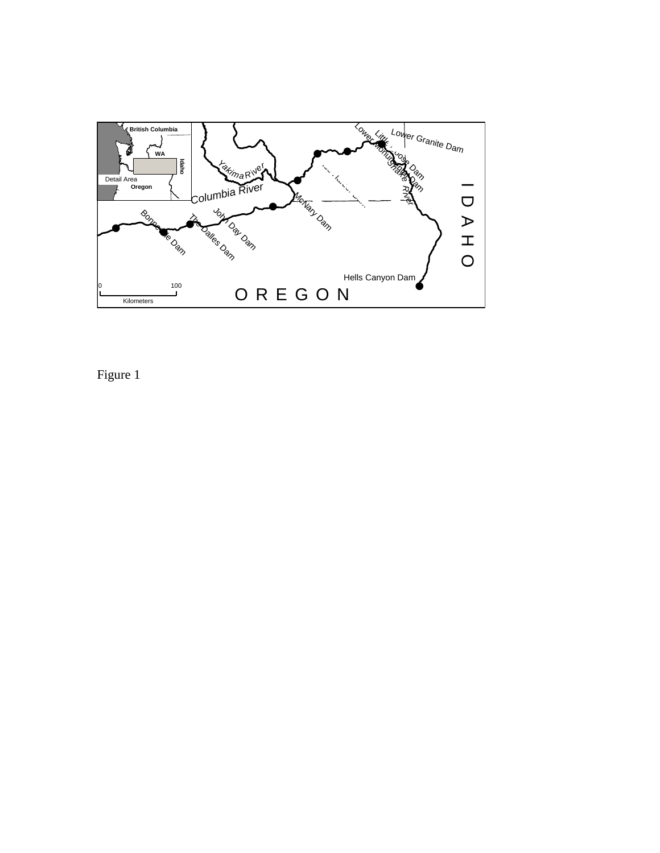

Figure 1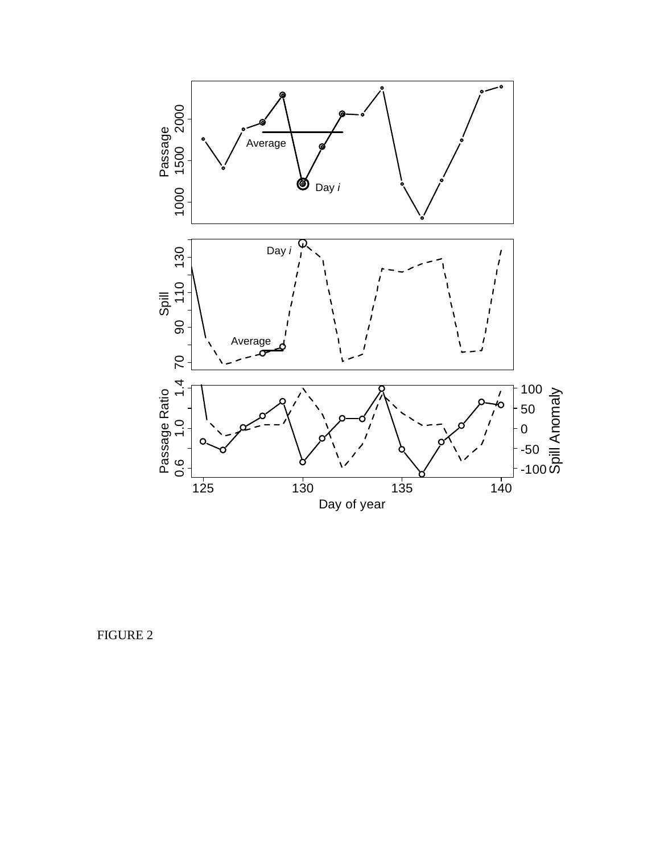

FIGURE 2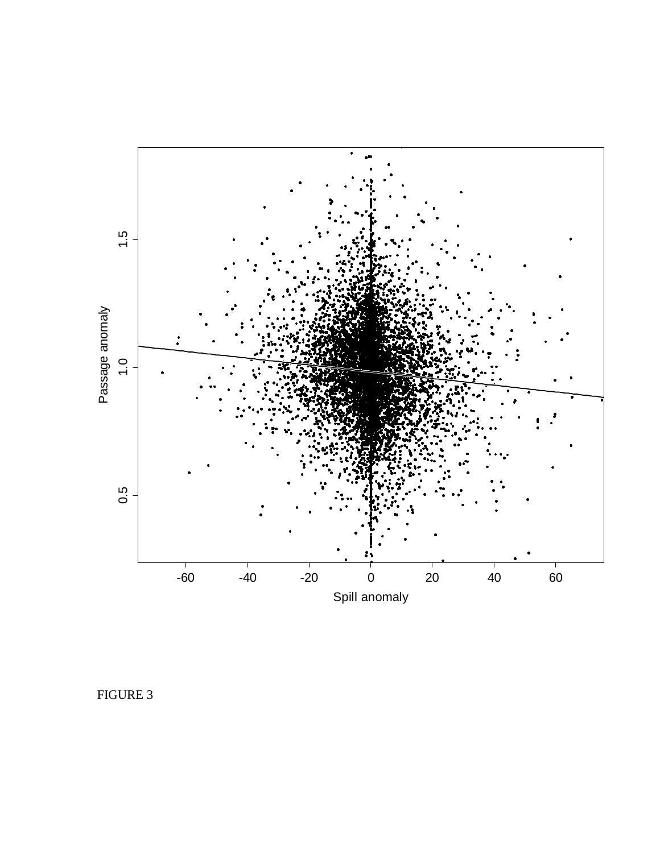

FIGURE 3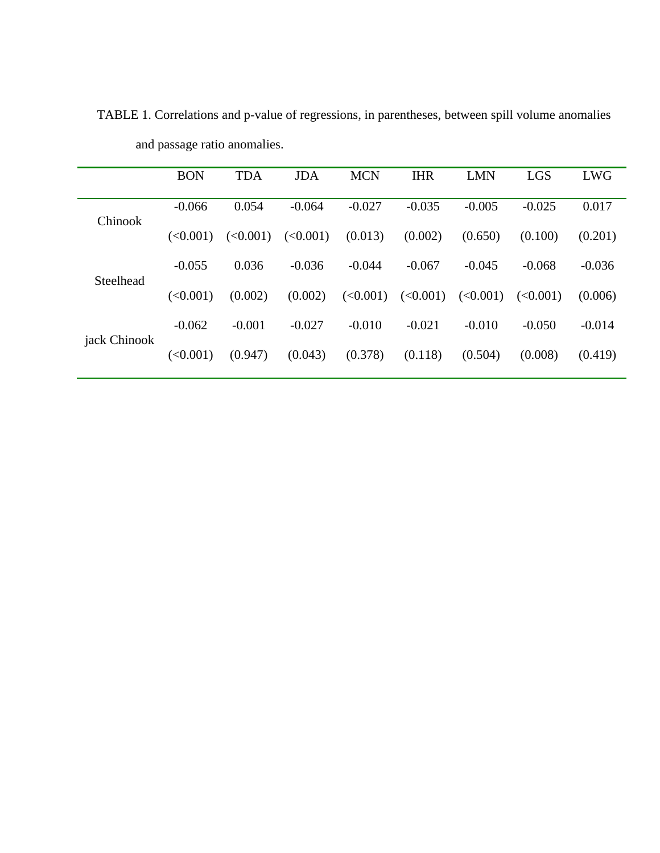|              | <b>BON</b> | <b>TDA</b> | <b>JDA</b> | <b>MCN</b> | <b>IHR</b> | <b>LMN</b> | <b>LGS</b> | <b>LWG</b> |
|--------------|------------|------------|------------|------------|------------|------------|------------|------------|
| Chinook      | $-0.066$   | 0.054      | $-0.064$   | $-0.027$   | $-0.035$   | $-0.005$   | $-0.025$   | 0.017      |
|              | (<0.001)   | (<0.001)   | (<0.001)   | (0.013)    | (0.002)    | (0.650)    | (0.100)    | (0.201)    |
| Steelhead    | $-0.055$   | 0.036      | $-0.036$   | $-0.044$   | $-0.067$   | $-0.045$   | $-0.068$   | $-0.036$   |
|              | (<0.001)   | (0.002)    | (0.002)    | (<0.001)   | (<0.001)   | (<0.001)   | (<0.001)   | (0.006)    |
| jack Chinook | $-0.062$   | $-0.001$   | $-0.027$   | $-0.010$   | $-0.021$   | $-0.010$   | $-0.050$   | $-0.014$   |
|              | (<0.001)   | (0.947)    | (0.043)    | (0.378)    | (0.118)    | (0.504)    | (0.008)    | (0.419)    |
|              |            |            |            |            |            |            |            |            |

<span id="page-16-0"></span>TABLE 1. Correlations and p-value of regressions, in parentheses, between spill volume anomalies and passage ratio anomalies.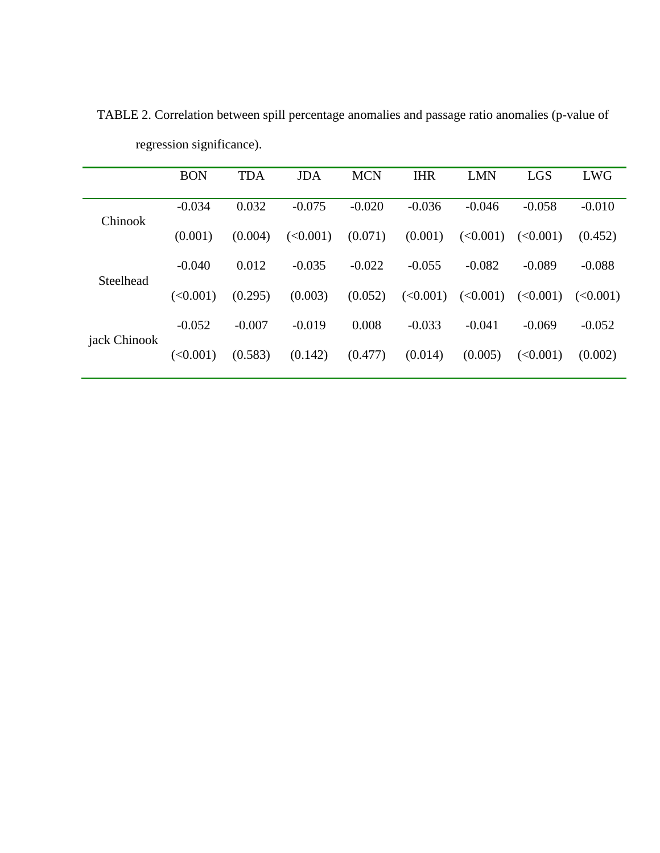|              | <b>BON</b> | <b>TDA</b> | <b>JDA</b> | <b>MCN</b> | <b>IHR</b> | <b>LMN</b> | <b>LGS</b> | <b>LWG</b> |
|--------------|------------|------------|------------|------------|------------|------------|------------|------------|
| Chinook      | $-0.034$   | 0.032      | $-0.075$   | $-0.020$   | $-0.036$   | $-0.046$   | $-0.058$   | $-0.010$   |
|              | (0.001)    | (0.004)    | (<0.001)   | (0.071)    | (0.001)    | (<0.001)   | (<0.001)   | (0.452)    |
| Steelhead    | $-0.040$   | 0.012      | $-0.035$   | $-0.022$   | $-0.055$   | $-0.082$   | $-0.089$   | $-0.088$   |
|              | (<0.001)   | (0.295)    | (0.003)    | (0.052)    | (<0.001)   | (<0.001)   | (<0.001)   | (<0.001)   |
| jack Chinook | $-0.052$   | $-0.007$   | $-0.019$   | 0.008      | $-0.033$   | $-0.041$   | $-0.069$   | $-0.052$   |
|              | (<0.001)   | (0.583)    | (0.142)    | (0.477)    | (0.014)    | (0.005)    | (<0.001)   | (0.002)    |
|              |            |            |            |            |            |            |            |            |

<span id="page-17-0"></span>TABLE 2. Correlation between spill percentage anomalies and passage ratio anomalies (p-value of regression significance).